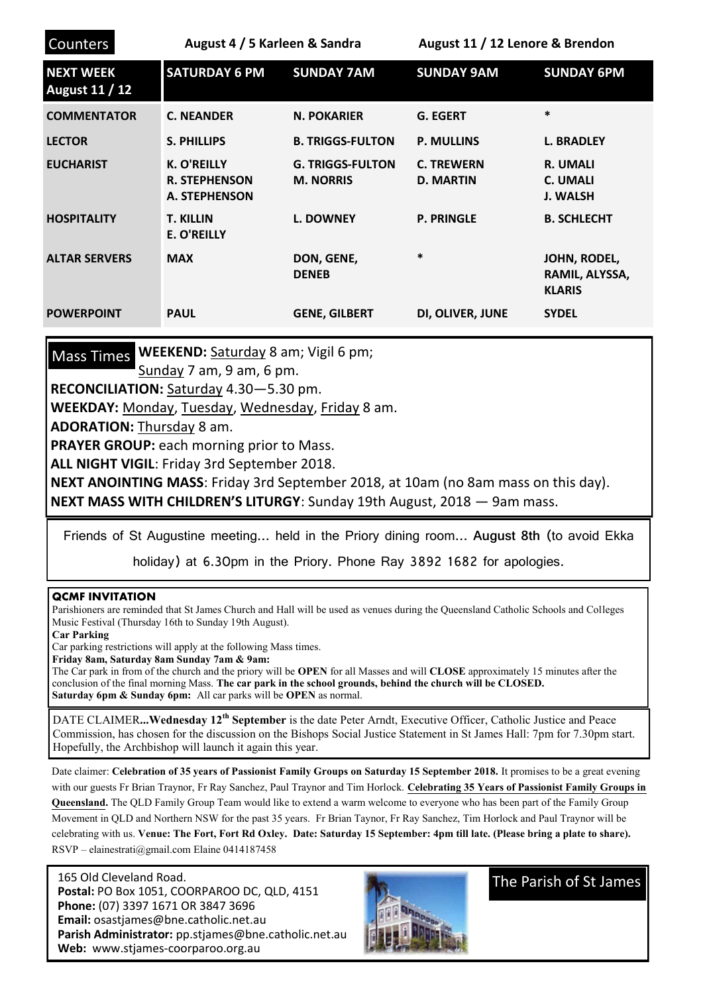| <b>Counters</b>                           | August 4 / 5 Karleen & Sandra                        |                                             | August 11 / 12 Lenore & Brendon       |                                                       |
|-------------------------------------------|------------------------------------------------------|---------------------------------------------|---------------------------------------|-------------------------------------------------------|
| <b>NEXT WEEK</b><br><b>August 11 / 12</b> | <b>SATURDAY 6 PM</b>                                 | <b>SUNDAY 7AM</b>                           | <b>SUNDAY 9AM</b>                     | <b>SUNDAY 6PM</b>                                     |
| <b>COMMENTATOR</b>                        | <b>C. NEANDER</b>                                    | <b>N. POKARIER</b>                          | <b>G. EGERT</b>                       | $\ast$                                                |
| <b>LECTOR</b>                             | <b>S. PHILLIPS</b>                                   | <b>B. TRIGGS-FULTON</b>                     | <b>P. MULLINS</b>                     | <b>L. BRADLEY</b>                                     |
| <b>EUCHARIST</b>                          | K. O'REILLY<br><b>R. STEPHENSON</b><br>A. STEPHENSON | <b>G. TRIGGS-FULTON</b><br><b>M. NORRIS</b> | <b>C. TREWERN</b><br><b>D. MARTIN</b> | <b>R. UMALI</b><br><b>C. UMALI</b><br><b>J. WALSH</b> |
| <b>HOSPITALITY</b>                        | <b>T. KILLIN</b><br>E. O'REILLY                      | <b>L. DOWNEY</b>                            | <b>P. PRINGLE</b>                     | <b>B. SCHLECHT</b>                                    |
| <b>ALTAR SERVERS</b>                      | <b>MAX</b>                                           | DON, GENE,<br><b>DENEB</b>                  | $\ast$                                | JOHN, RODEL,<br>RAMIL, ALYSSA,<br><b>KLARIS</b>       |
| <b>POWERPOINT</b>                         | <b>PAUL</b>                                          | <b>GENE, GILBERT</b>                        | DI, OLIVER, JUNE                      | <b>SYDEL</b>                                          |

Mass Times WEEKEND: Saturday 8 am; Vigil 6 pm;

Sunday 7 am, 9 am, 6 pm.

**RECONCILIATION:** Saturday 4.30—5.30 pm.

**WEEKDAY:** Monday, Tuesday, Wednesday, Friday 8 am.

**ADORATION:** Thursday 8 am.

**PRAYER GROUP:** each morning prior to Mass.

**ALL NIGHT VIGIL**: Friday 3rd September 2018.

**NEXT ANOINTING MASS**: Friday 3rd September 2018, at 10am (no 8am mass on this day). **NEXT MASS WITH CHILDREN'S LITURGY**: Sunday 19th August, 2018 — 9am mass.

Friends of St Augustine meeting… held in the Priory dining room… **August 8th** (to avoid Ekka

holiday) at 6.30pm in the Priory. Phone Ray 3892 1682 for apologies.

## **QCMF INVITATION**

Parishioners are reminded that St James Church and Hall will be used as venues during the Queensland Catholic Schools and Colleges Music Festival (Thursday 16th to Sunday 19th August).

**Car Parking**

Car parking restrictions will apply at the following Mass times.

**Friday 8am, Saturday 8am Sunday 7am & 9am:**

The Car park in from of the church and the priory will be **OPEN** for all Masses and will **CLOSE** approximately 15 minutes after the conclusion of the final morning Mass. **The car park in the school grounds, behind the church will be CLOSED. Saturday 6pm & Sunday 6pm:** All car parks will be **OPEN** as normal.

DATE CLAIMER**...Wednesday 12th September** is the date Peter Arndt, Executive Officer, Catholic Justice and Peace Commission, has chosen for the discussion on the Bishops Social Justice Statement in St James Hall: 7pm for 7.30pm start. Hopefully, the Archbishop will launch it again this year.

Date claimer: **Celebration of 35 years of Passionist Family Groups on Saturday 15 September 2018.** It promises to be a great evening with our guests Fr Brian Traynor, Fr Ray Sanchez, Paul Traynor and Tim Horlock. **Celebrating 35 Years of Passionist Family Groups in** 

**Queensland.** The QLD Family Group Team would like to extend a warm welcome to everyone who has been part of the Family Group Movement in QLD and Northern NSW for the past 35 years. Fr Brian Taynor, Fr Ray Sanchez, Tim Horlock and Paul Traynor will be celebrating with us. **Venue: The Fort, Fort Rd Oxley. Date: Saturday 15 September: 4pm till late. (Please bring a plate to share).** RSVP – [elainestrati@gmail.com](mailto:elainestrati@gmail.com) Elaine 0414187458

 165 Old Cleveland Road.  **Postal:** PO Box 1051, COORPAROO DC, QLD, 4151  **Phone:** (07) 3397 1671 OR 3847 3696 **Email:** osastjames@bne.catholic.net.au **Parish Administrator:** pp.stjames@bne.catholic.net.au **Web:** www.stjames-coorparoo.org.au



The Parish of St James